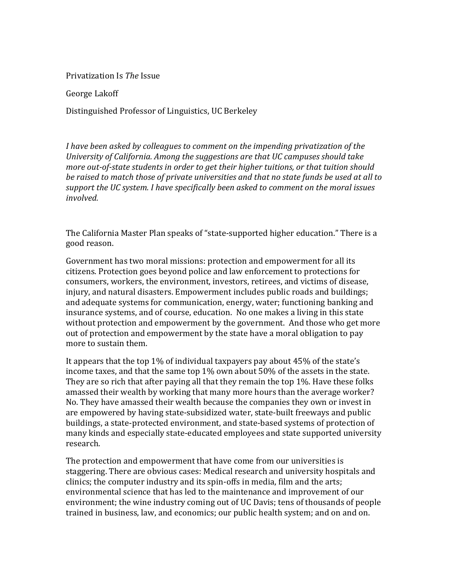Privatization Is *The* Issue

George Lakoff

Distinguished Professor of Linguistics, UC Berkeley

*I have been asked by colleagues to comment on the impending privatization of the University of California. Among the suggestions are that UC campuses should take more out-of-state students in order to get their higher tuitions, or that tuition should be raised to match those of private universities and that no state funds be used at all to support the UC system. I have specifically been asked to comment on the moral issues involved.* 

The California Master Plan speaks of "state-supported higher education." There is a good reason.

Government has two moral missions: protection and empowerment for all its citizens. Protection goes beyond police and law enforcement to protections for consumers, workers, the environment, investors, retirees, and victims of disease, injury, and natural disasters. Empowerment includes public roads and buildings; and adequate systems for communication, energy, water; functioning banking and insurance systems, and of course, education. No one makes a living in this state without protection and empowerment by the government. And those who get more out of protection and empowerment by the state have a moral obligation to pay more to sustain them.

It appears that the top 1% of individual taxpayers pay about 45% of the state's income taxes, and that the same top 1% own about 50% of the assets in the state. They are so rich that after paying all that they remain the top 1%. Have these folks amassed their wealth by working that many more hours than the average worker? No. They have amassed their wealth because the companies they own or invest in are empowered by having state-subsidized water, state-built freeways and public buildings, a state-protected environment, and state-based systems of protection of many kinds and especially state-educated employees and state supported university research.

The protection and empowerment that have come from our universities is staggering. There are obvious cases: Medical research and university hospitals and clinics; the computer industry and its spin-offs in media, film and the arts; environmental science that has led to the maintenance and improvement of our environment; the wine industry coming out of UC Davis; tens of thousands of people trained in business, law, and economics; our public health system; and on and on.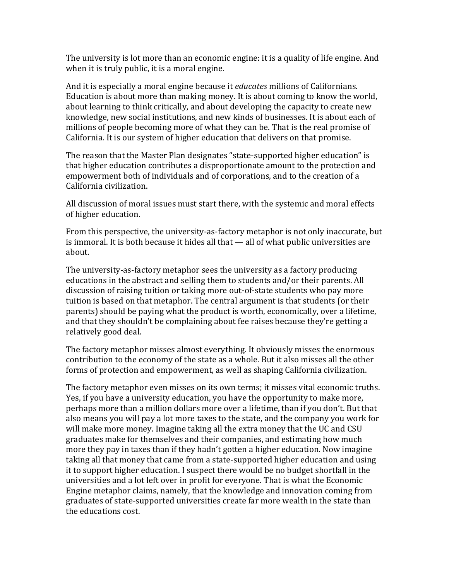The university is lot more than an economic engine: it is a quality of life engine. And when it is truly public, it is a moral engine.

And it is especially a moral engine because it *educates* millions of Californians. Education is about more than making money. It is about coming to know the world, about learning to think critically, and about developing the capacity to create new knowledge, new social institutions, and new kinds of businesses. It is about each of millions of people becoming more of what they can be. That is the real promise of California. It is our system of higher education that delivers on that promise.

The reason that the Master Plan designates "state-supported higher education" is that higher education contributes a disproportionate amount to the protection and empowerment both of individuals and of corporations, and to the creation of a California civilization.

All discussion of moral issues must start there, with the systemic and moral effects of higher education.

From this perspective, the university-as-factory metaphor is not only inaccurate, but is immoral. It is both because it hides all that — all of what public universities are about.

The university-as-factory metaphor sees the university as a factory producing educations in the abstract and selling them to students and/or their parents. All discussion of raising tuition or taking more out-of-state students who pay more tuition is based on that metaphor. The central argument is that students (or their parents) should be paying what the product is worth, economically, over a lifetime, and that they shouldn't be complaining about fee raises because they're getting a relatively good deal.

The factory metaphor misses almost everything. It obviously misses the enormous contribution to the economy of the state as a whole. But it also misses all the other forms of protection and empowerment, as well as shaping California civilization.

The factory metaphor even misses on its own terms; it misses vital economic truths. Yes, if you have a university education, you have the opportunity to make more, perhaps more than a million dollars more over a lifetime, than if you don't. But that also means you will pay a lot more taxes to the state, and the company you work for will make more money. Imagine taking all the extra money that the UC and CSU graduates make for themselves and their companies, and estimating how much more they pay in taxes than if they hadn't gotten a higher education. Now imagine taking all that money that came from a state-supported higher education and using it to support higher education. I suspect there would be no budget shortfall in the universities and a lot left over in profit for everyone. That is what the Economic Engine metaphor claims, namely, that the knowledge and innovation coming from graduates of state-supported universities create far more wealth in the state than the educations cost.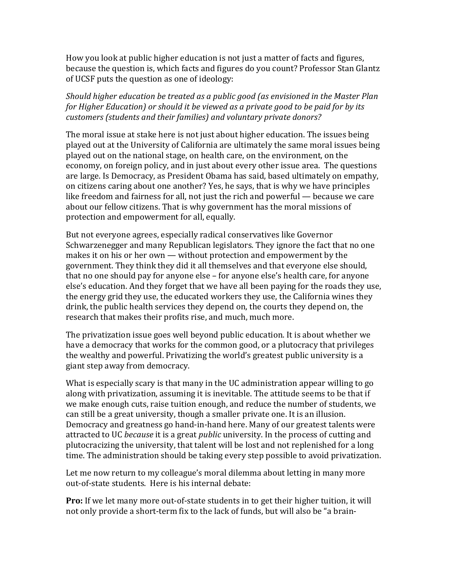How you look at public higher education is not just a matter of facts and figures, because the question is, which facts and figures do you count? Professor Stan Glantz of UCSF puts the question as one of ideology:

*Should higher education be treated as a public good (as envisioned in the Master Plan for Higher Education) or should it be viewed as a private good to be paid for by its customers (students and their families) and voluntary private donors?*

The moral issue at stake here is not just about higher education. The issues being played out at the University of California are ultimately the same moral issues being played out on the national stage, on health care, on the environment, on the economy, on foreign policy, and in just about every other issue area. The questions are large. Is Democracy, as President Obama has said, based ultimately on empathy, on citizens caring about one another? Yes, he says, that is why we have principles like freedom and fairness for all, not just the rich and powerful — because we care about our fellow citizens. That is why government has the moral missions of protection and empowerment for all, equally.

But not everyone agrees, especially radical conservatives like Governor Schwarzenegger and many Republican legislators. They ignore the fact that no one makes it on his or her own — without protection and empowerment by the government. They think they did it all themselves and that everyone else should, that no one should pay for anyone else – for anyone else's health care, for anyone else's education. And they forget that we have all been paying for the roads they use, the energy grid they use, the educated workers they use, the California wines they drink, the public health services they depend on, the courts they depend on, the research that makes their profits rise, and much, much more.

The privatization issue goes well beyond public education. It is about whether we have a democracy that works for the common good, or a plutocracy that privileges the wealthy and powerful. Privatizing the world's greatest public university is a giant step away from democracy.

What is especially scary is that many in the UC administration appear willing to go along with privatization, assuming it is inevitable. The attitude seems to be that if we make enough cuts, raise tuition enough, and reduce the number of students, we can still be a great university, though a smaller private one. It is an illusion. Democracy and greatness go hand-in-hand here. Many of our greatest talents were attracted to UC *because* it is a great *public* university. In the process of cutting and plutocracizing the university, that talent will be lost and not replenished for a long time. The administration should be taking every step possible to avoid privatization.

Let me now return to my colleague's moral dilemma about letting in many more out-of-state students. Here is his internal debate:

**Pro:** If we let many more out-of-state students in to get their higher tuition, it will not only provide a short-term fix to the lack of funds, but will also be "a brain